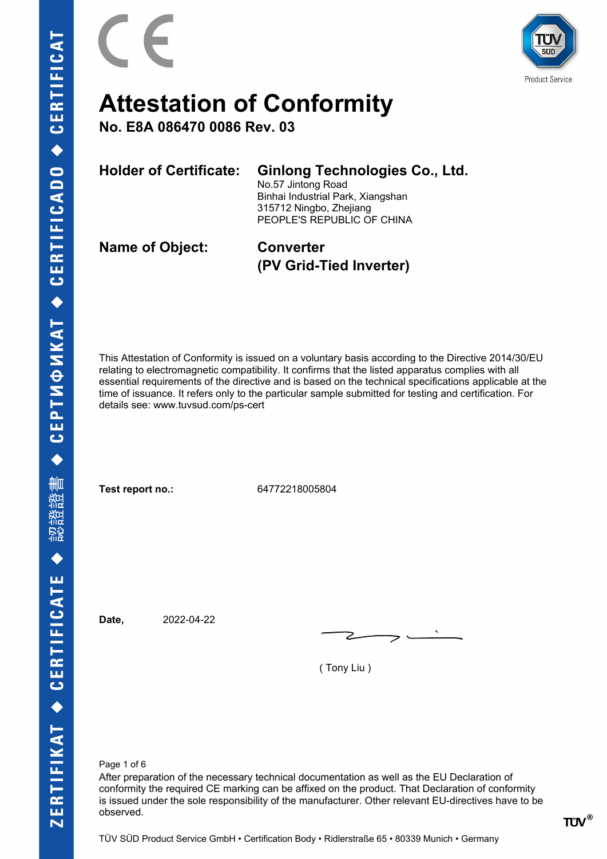

**Product Service** 

### **Attestation of Conformity**

**No. E8A 086470 0086 Rev. 03**

| <b>Holder of Certificate:</b> | <b>Ginlong Technologies Co., Ltd.</b><br>No.57 Jintong Road<br>Binhai Industrial Park, Xiangshan<br>315712 Ningbo, Zhejiang<br>PEOPLE'S REPUBLIC OF CHINA |
|-------------------------------|-----------------------------------------------------------------------------------------------------------------------------------------------------------|
| <b>Name of Object:</b>        | <b>Converter</b>                                                                                                                                          |

This Attestation of Conformity is issued on a voluntary basis according to the Directive 2014/30/EU relating to electromagnetic compatibility. It confirms that the listed apparatus complies with all essential requirements of the directive and is based on the technical specifications applicable at the time of issuance. It refers only to the particular sample submitted for testing and certification. For details see: www.tuvsud.com/ps-cert

**(PV Grid-Tied Inverter)**

**Test report no.:** 64772218005804

**Date,** 2022-04-22

( Tony Liu )

Page 1 of 6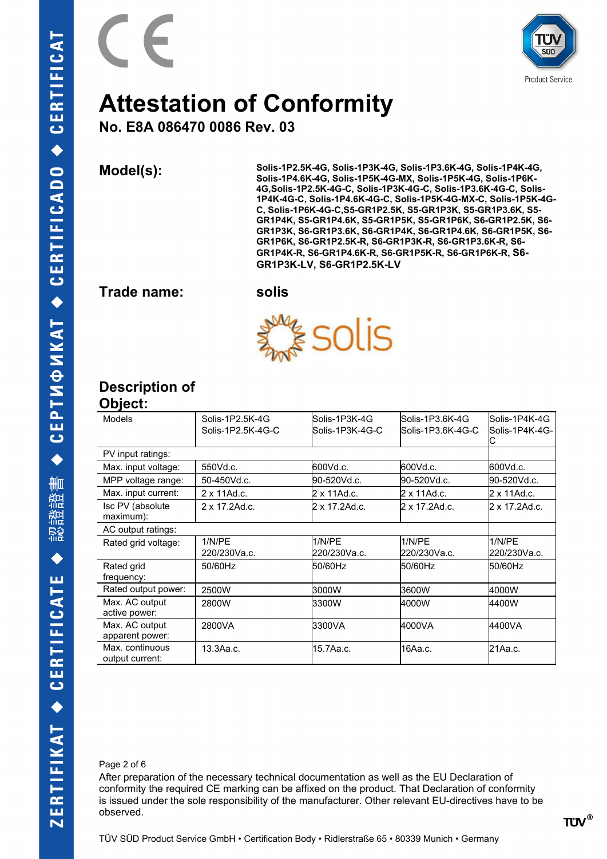

**No. E8A 086470 0086 Rev. 03**

**Model(s): Solis-1P2.5K-4G, Solis-1P3K-4G, Solis-1P3.6K-4G, Solis-1P4K-4G, Solis-1P4.6K-4G, Solis-1P5K-4G-MX, Solis-1P5K-4G, Solis-1P6K-4G,Solis-1P2.5K-4G-C, Solis-1P3K-4G-C, Solis-1P3.6K-4G-C, Solis-1P4K-4G-C, Solis-1P4.6K-4G-C, Solis-1P5K-4G-MX-C, Solis-1P5K-4G-C, Solis-1P6K-4G-C,S5-GR1P2.5K, S5-GR1P3K, S5-GR1P3.6K, S5- GR1P4K, S5-GR1P4.6K, S5-GR1P5K, S5-GR1P6K, S6-GR1P2.5K, S6- GR1P3K, S6-GR1P3.6K, S6-GR1P4K, S6-GR1P4.6K, S6-GR1P5K, S6- GR1P6K, S6-GR1P2.5K-R, S6-GR1P3K-R, S6-GR1P3.6K-R, S6- GR1P4K-R, S6-GR1P4.6K-R, S6-GR1P5K-R, S6-GR1P6K-R, S6- GR1P3K-LV, S6-GR1P2.5K-LV**

**Trade name: solis**



### **Description of**

### **Object:**

| Models                             | Solis-1P2.5K-4G<br>Solis-1P2.5K-4G-C | lSolis-1P3K-4G<br>lSolis-1P3K-4G-C | Solis-1P3.6K-4G<br>Solis-1P3.6K-4G-C | lSolis-1P4K-4G<br>lSolis-1P4K-4G- |
|------------------------------------|--------------------------------------|------------------------------------|--------------------------------------|-----------------------------------|
| PV input ratings:                  |                                      |                                    |                                      |                                   |
| Max. input voltage:                | 550Vd.c.                             | 600Vd.c.                           | 600Vd.c.                             | l600Vd.c.                         |
| MPP voltage range:                 | 50-450Vd.c.                          | 90-520Vd.c.                        | l90-520Vd.c.                         | l90-520Vd.c.                      |
| Max. input current:                | 2 x 11Ad.c.                          | 2 x 11Ad.c.                        | 2 x 11Ad.c.                          | l2 x 11Ad.c.                      |
| Isc PV (absolute<br>maximum):      | 2 x 17.2Ad.c.                        | 2 x 17.2Ad.c.                      | 2 x 17.2Ad.c.                        | l2 x 17.2Ad.c.                    |
| AC output ratings:                 |                                      |                                    |                                      |                                   |
| Rated grid voltage:                | 1/N/PF<br>220/230Va.c.               | 1/N/PE<br>220/230Va.c.             | 1/N/PE<br>220/230Va.c.               | 1/N/PE<br>l220/230Va.c.           |
| Rated grid<br>frequency:           | 50/60Hz                              | 50/60Hz                            | 50/60Hz                              | 50/60Hz                           |
| Rated output power:                | 2500W                                | 3000W                              | 3600W                                | l4000W                            |
| Max. AC output<br>active power:    | 2800W                                | 3300W                              | 4000W                                | l4400W                            |
| Max. AC output<br>apparent power:  | 2800VA                               | 3300VA                             | 4000VA                               | 4400VA                            |
| Max. continuous<br>output current: | 13.3Aa.c.                            | l15.7Aa.c.                         | 16Aa.c.                              | 21Aa.c.                           |

#### Page 2 of 6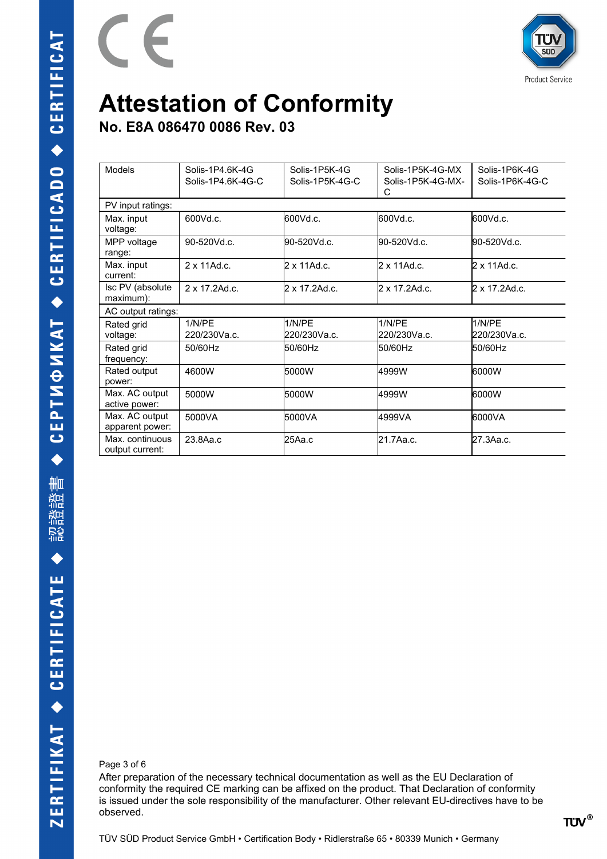

**No. E8A 086470 0086 Rev. 03**

 $\epsilon$ 

| Models                             | Solis-1P4.6K-4G<br>Solis-1P4.6K-4G-C | Solis-1P5K-4G<br>Solis-1P5K-4G-C | Solis-1P5K-4G-MX<br>Solis-1P5K-4G-MX-<br>C | Solis-1P6K-4G<br>Solis-1P6K-4G-C |
|------------------------------------|--------------------------------------|----------------------------------|--------------------------------------------|----------------------------------|
| PV input ratings:                  |                                      |                                  |                                            |                                  |
| Max. input<br>voltage:             | 600Vd.c.                             | 600Vd.c.                         | 600Vd.c.                                   | 600Vd.c.                         |
| MPP voltage<br>range:              | 90-520Vd.c.                          | 90-520Vd.c.                      | 90-520Vd.c.                                | 90-520Vd.c.                      |
| Max. input<br>current:             | $2 \times 11$ Ad.c.                  | l2 x 11Ad.c.                     | 2 x 11Ad.c.                                | 2 x 11Ad.c.                      |
| Isc PV (absolute<br>maximum):      | $2 \times 17.2$ Ad.c.                | 2 x 17.2Ad.c.                    | $2 \times 17.2$ Ad.c.                      | 2 x 17.2Ad.c.                    |
| AC output ratings:                 |                                      |                                  |                                            |                                  |
| Rated grid<br>voltage:             | 1/N/PF<br>220/230Va.c.               | 1/N/PE<br>220/230Va.c.           | 1/N/PE<br>220/230Va.c.                     | 1/N/PE<br>l220/230Va.c.          |
| Rated grid<br>frequency:           | 50/60Hz                              | 50/60Hz                          | 50/60Hz                                    | 50/60Hz                          |
| Rated output<br>power:             | 4600W                                | 5000W                            | 4999W                                      | 6000W                            |
| Max. AC output<br>active power:    | 5000W                                | 5000W                            | 4999W                                      | 6000W                            |
| Max. AC output<br>apparent power:  | 5000VA                               | 5000VA                           | 4999VA                                     | 6000VA                           |
| Max. continuous<br>output current: | 23.8Aa.c                             | l25Aa.c                          | 21.7Aa.c.                                  | 27.3Aa.c.                        |

Page 3 of 6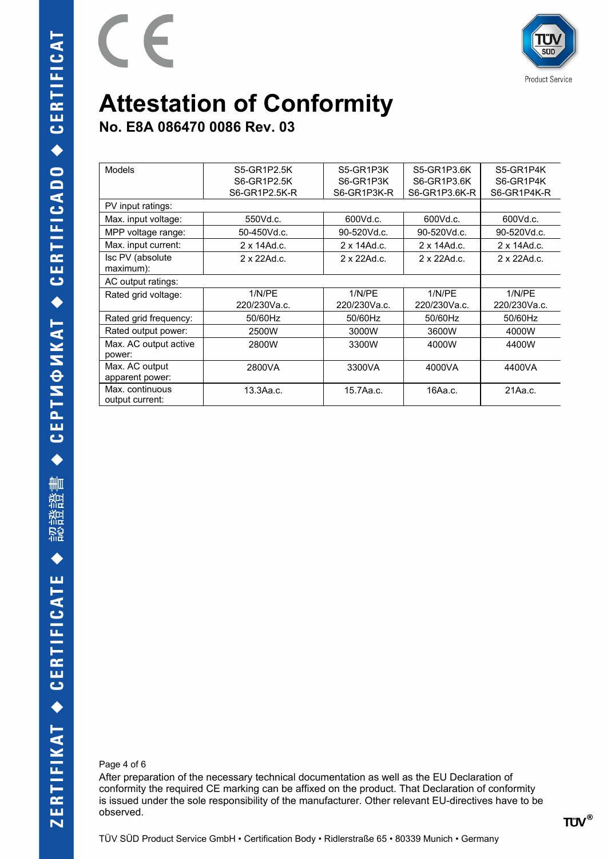

**Product Service** 

# **Attestation of Conformity**

**No. E8A 086470 0086 Rev. 03**

 $\epsilon$ 

| <b>Models</b>                      | S5-GR1P2.5K   | S5-GR1P3K    | S5-GR1P3.6K   | S5-GR1P4K    |
|------------------------------------|---------------|--------------|---------------|--------------|
|                                    | S6-GR1P2.5K   | S6-GR1P3K    | S6-GR1P3.6K   | S6-GR1P4K    |
|                                    | S6-GR1P2.5K-R | S6-GR1P3K-R  | S6-GR1P3.6K-R | S6-GR1P4K-R  |
| PV input ratings:                  |               |              |               |              |
| Max. input voltage:                | 550Vd.c.      | 600Vd.c.     | 600Vd.c.      | 600Vd.c.     |
| MPP voltage range:                 | 50-450Vd.c.   | 90-520Vd.c.  | 90-520Vd.c.   | 90-520Vd.c.  |
| Max. input current:                | 2 x 14Ad.c.   | 2 x 14Ad.c.  | 2 x 14Ad.c.   | 2 x 14Ad.c.  |
| Isc PV (absolute<br>maximum):      | 2 x 22Ad.c.   | 2 x 22Ad.c.  | 2 x 22Ad.c.   | 2 x 22Ad.c.  |
| AC output ratings:                 |               |              |               |              |
| Rated grid voltage:                | 1/N/PE        | 1/N/PE       | 1/N/PE        | 1/N/PE       |
|                                    | 220/230Va.c.  | 220/230Va.c. | 220/230Va.c.  | 220/230Va.c. |
| Rated grid frequency:              | 50/60Hz       | 50/60Hz      | 50/60Hz       | 50/60Hz      |
| Rated output power:                | 2500W         | 3000W        | 3600W         | 4000W        |
| Max. AC output active<br>power:    | 2800W         | 3300W        | 4000W         | 4400W        |
| Max. AC output<br>apparent power:  | 2800VA        | 3300VA       | 4000VA        | 4400VA       |
| Max. continuous<br>output current: | 13.3Aa.c.     | 15.7Aa.c.    | 16Aa.c.       | 21Aa.c.      |

Page 4 of 6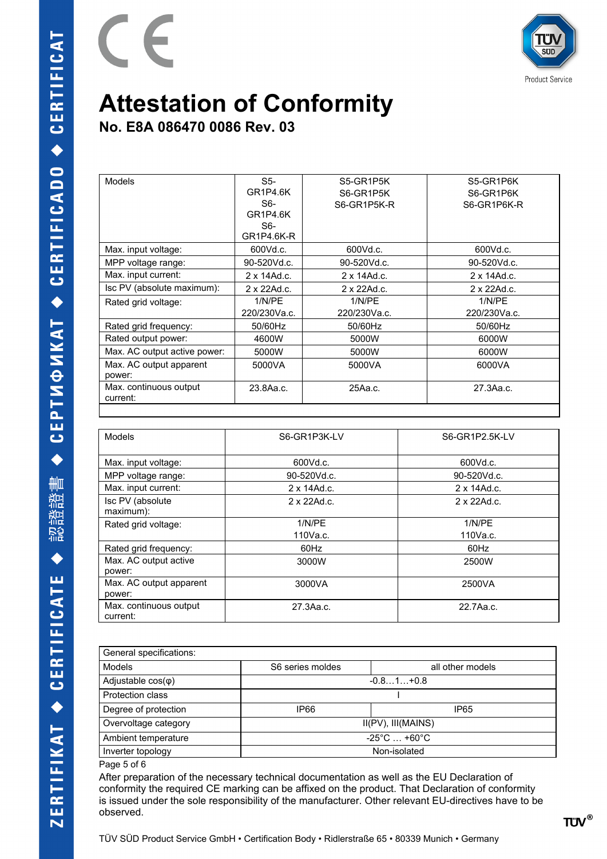



**No. E8A 086470 0086 Rev. 03**

| <b>Models</b>                      | $S5-$               | S5-GR1P5K    | S5-GR1P6K    |
|------------------------------------|---------------------|--------------|--------------|
|                                    | <b>GR1P4.6K</b>     | S6-GR1P5K    | S6-GR1P6K    |
|                                    | $S6-$               | S6-GR1P5K-R  | S6-GR1P6K-R  |
|                                    | GR1P4.6K            |              |              |
|                                    | S6-                 |              |              |
|                                    | GR1P4.6K-R          |              |              |
| Max. input voltage:                | 600Vd.c.            | 600Vd.c.     | 600Vd.c.     |
| MPP voltage range:                 | 90-520Vd.c.         | 90-520Vd.c.  | 90-520Vd.c.  |
| Max. input current:                | $2 \times 14$ Ad.c. | 2 x 14Ad.c.  | 2 x 14Ad.c.  |
| Isc PV (absolute maximum):         | 2 x 22Ad.c.         | 2 x 22Ad.c.  | 2 x 22Ad.c.  |
| Rated grid voltage:                | 1/N/PE              | 1/N/PE       | 1/N/PE       |
|                                    | 220/230Va.c.        | 220/230Va.c. | 220/230Va.c. |
| Rated grid frequency:              | 50/60Hz             | 50/60Hz      | 50/60Hz      |
| Rated output power:                | 4600W               | 5000W        | 6000W        |
| Max. AC output active power:       | 5000W               | 5000W        | 6000W        |
| Max. AC output apparent            | 5000VA              | 5000VA       | 6000VA       |
| power:                             |                     |              |              |
| Max. continuous output<br>current: | 23.8Aa.c.           | 25Aa.c.      | 27.3Aa.c.    |

| <b>Models</b>                      | S6-GR1P3K-LV        | S6-GR1P2.5K-LV      |
|------------------------------------|---------------------|---------------------|
| Max. input voltage:                | 600Vd.c.            | 600Vd.c.            |
| MPP voltage range:                 | 90-520Vd.c.         | 90-520Vd.c.         |
| Max. input current:                | $2 \times 14$ Ad.c. | $2 \times 14$ Ad.c. |
| Isc PV (absolute)<br>maximum):     | 2 x 22Ad.c.         | 2 x 22Ad.c.         |
| Rated grid voltage:                | 1/N/PE              | 1/N/PE              |
|                                    | 110Va.c.            | 110Va.c.            |
| Rated grid frequency:              | 60Hz                | 60Hz                |
| Max. AC output active<br>power:    | 3000W               | 2500W               |
| Max. AC output apparent<br>power:  | 3000VA              | 2500VA              |
| Max. continuous output<br>current: | 27.3Aa.c.           | 22.7Aa.c.           |

| General specifications:   |                                     |                  |  |  |
|---------------------------|-------------------------------------|------------------|--|--|
| Models                    | S6 series moldes                    | all other models |  |  |
| Adjustable $cos(\varphi)$ | $-0.81+0.8$                         |                  |  |  |
| Protection class          |                                     |                  |  |  |
| Degree of protection      | IP66                                | IP65             |  |  |
| Overvoltage category      | II(PV), III(MAINS)                  |                  |  |  |
| Ambient temperature       | $-25^{\circ}$ C $$ +60 $^{\circ}$ C |                  |  |  |
| Inverter topology         | Non-isolated                        |                  |  |  |
| Page 5 of 6               |                                     |                  |  |  |